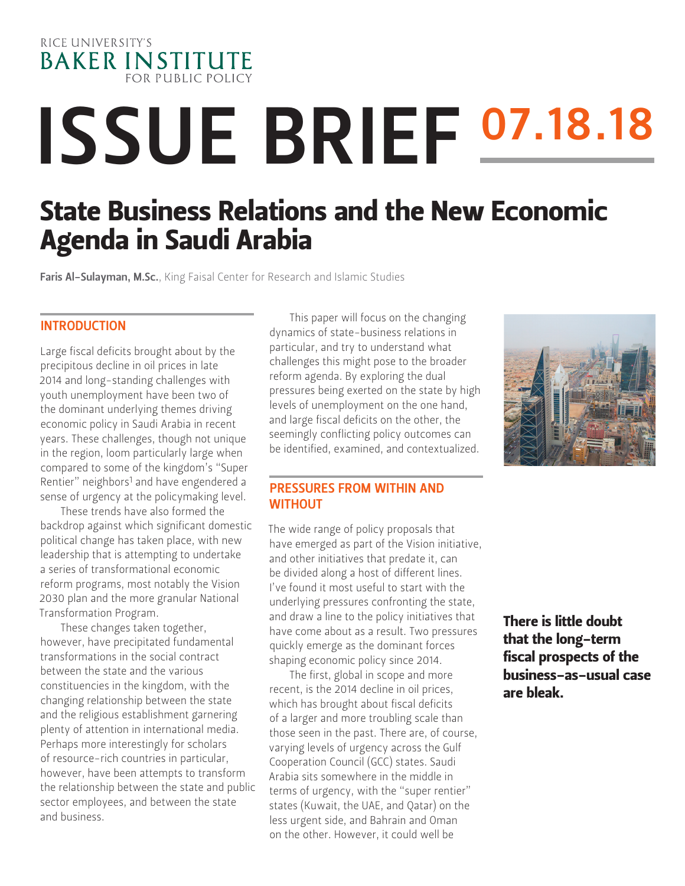

# ISSUE BRIEF 07.18.18

# State Business Relations and the New Economic Agenda in Saudi Arabia

Faris Al-Sulayman, M.Sc., King Faisal Center for Research and Islamic Studies

#### INTRODUCTION

Large fiscal deficits brought about by the precipitous decline in oil prices in late 2014 and long-standing challenges with youth unemployment have been two of the dominant underlying themes driving economic policy in Saudi Arabia in recent years. These challenges, though not unique in the region, loom particularly large when compared to some of the kingdom's "Super Rentier" neighbors<sup>1</sup> and have engendered a sense of urgency at the policymaking level.

These trends have also formed the backdrop against which significant domestic political change has taken place, with new leadership that is attempting to undertake a series of transformational economic reform programs, most notably the Vision 2030 plan and the more granular National Transformation Program.

These changes taken together, however, have precipitated fundamental transformations in the social contract between the state and the various constituencies in the kingdom, with the changing relationship between the state and the religious establishment garnering plenty of attention in international media. Perhaps more interestingly for scholars of resource-rich countries in particular, however, have been attempts to transform the relationship between the state and public sector employees, and between the state and business.

This paper will focus on the changing dynamics of state-business relations in particular, and try to understand what challenges this might pose to the broader reform agenda. By exploring the dual pressures being exerted on the state by high levels of unemployment on the one hand, and large fiscal deficits on the other, the seemingly conflicting policy outcomes can be identified, examined, and contextualized.



#### PRESSURES FROM WITHIN AND **WITHOUT**

The wide range of policy proposals that have emerged as part of the Vision initiative, and other initiatives that predate it, can be divided along a host of different lines. I've found it most useful to start with the underlying pressures confronting the state, and draw a line to the policy initiatives that have come about as a result. Two pressures quickly emerge as the dominant forces shaping economic policy since 2014.

The first, global in scope and more recent, is the 2014 decline in oil prices, which has brought about fiscal deficits of a larger and more troubling scale than those seen in the past. There are, of course, varying levels of urgency across the Gulf Cooperation Council (GCC) states. Saudi Arabia sits somewhere in the middle in terms of urgency, with the "super rentier" states (Kuwait, the UAE, and Qatar) on the less urgent side, and Bahrain and Oman on the other. However, it could well be

There is little doubt that the long-term fiscal prospects of the business-as-usual case are bleak.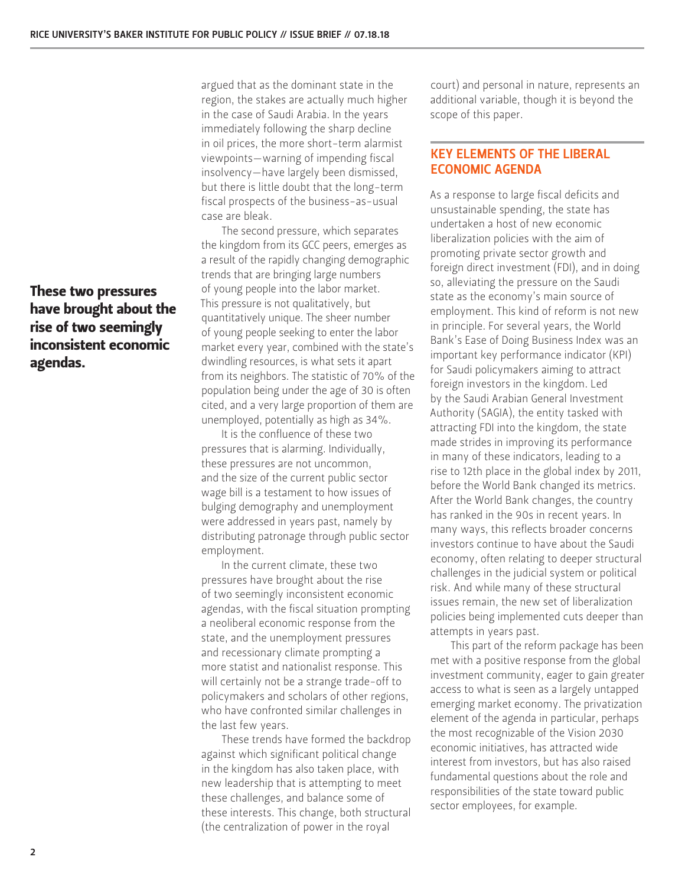These two pressures have brought about the rise of two seemingly inconsistent economic agendas.

argued that as the dominant state in the region, the stakes are actually much higher in the case of Saudi Arabia. In the years immediately following the sharp decline in oil prices, the more short-term alarmist viewpoints—warning of impending fiscal insolvency—have largely been dismissed, but there is little doubt that the long-term fiscal prospects of the business-as-usual case are bleak.

The second pressure, which separates the kingdom from its GCC peers, emerges as a result of the rapidly changing demographic trends that are bringing large numbers of young people into the labor market. This pressure is not qualitatively, but quantitatively unique. The sheer number of young people seeking to enter the labor market every year, combined with the state's dwindling resources, is what sets it apart from its neighbors. The statistic of 70% of the population being under the age of 30 is often cited, and a very large proportion of them are unemployed, potentially as high as 34%.

It is the confluence of these two pressures that is alarming. Individually, these pressures are not uncommon, and the size of the current public sector wage bill is a testament to how issues of bulging demography and unemployment were addressed in years past, namely by distributing patronage through public sector employment.

In the current climate, these two pressures have brought about the rise of two seemingly inconsistent economic agendas, with the fiscal situation prompting a neoliberal economic response from the state, and the unemployment pressures and recessionary climate prompting a more statist and nationalist response. This will certainly not be a strange trade-off to policymakers and scholars of other regions, who have confronted similar challenges in the last few years.

These trends have formed the backdrop against which significant political change in the kingdom has also taken place, with new leadership that is attempting to meet these challenges, and balance some of these interests. This change, both structural (the centralization of power in the royal

court) and personal in nature, represents an additional variable, though it is beyond the scope of this paper.

#### KEY ELEMENTS OF THE LIBERAL ECONOMIC AGENDA

As a response to large fiscal deficits and unsustainable spending, the state has undertaken a host of new economic liberalization policies with the aim of promoting private sector growth and foreign direct investment (FDI), and in doing so, alleviating the pressure on the Saudi state as the economy's main source of employment. This kind of reform is not new in principle. For several years, the World Bank's Ease of Doing Business Index was an important key performance indicator (KPI) for Saudi policymakers aiming to attract foreign investors in the kingdom. Led by the Saudi Arabian General Investment Authority (SAGIA), the entity tasked with attracting FDI into the kingdom, the state made strides in improving its performance in many of these indicators, leading to a rise to 12th place in the global index by 2011, before the World Bank changed its metrics. After the World Bank changes, the country has ranked in the 90s in recent years. In many ways, this reflects broader concerns investors continue to have about the Saudi economy, often relating to deeper structural challenges in the judicial system or political risk. And while many of these structural issues remain, the new set of liberalization policies being implemented cuts deeper than attempts in years past.

This part of the reform package has been met with a positive response from the global investment community, eager to gain greater access to what is seen as a largely untapped emerging market economy. The privatization element of the agenda in particular, perhaps the most recognizable of the Vision 2030 economic initiatives, has attracted wide interest from investors, but has also raised fundamental questions about the role and responsibilities of the state toward public sector employees, for example.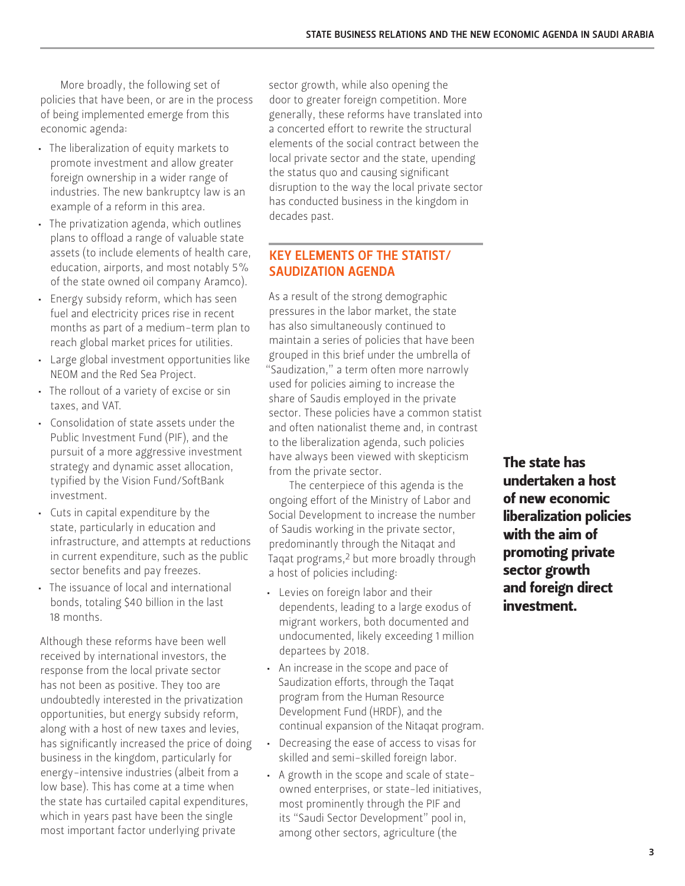More broadly, the following set of policies that have been, or are in the process of being implemented emerge from this economic agenda:

- The liberalization of equity markets to promote investment and allow greater foreign ownership in a wider range of industries. The new bankruptcy law is an example of a reform in this area.
- The privatization agenda, which outlines plans to offload a range of valuable state assets (to include elements of health care, education, airports, and most notably 5% of the state owned oil company Aramco).
- Energy subsidy reform, which has seen fuel and electricity prices rise in recent months as part of a medium-term plan to reach global market prices for utilities.
- Large global investment opportunities like NEOM and the Red Sea Project.
- The rollout of a variety of excise or sin taxes, and VAT.
- Consolidation of state assets under the Public Investment Fund (PIF), and the pursuit of a more aggressive investment strategy and dynamic asset allocation, typified by the Vision Fund/SoftBank investment.
- Cuts in capital expenditure by the state, particularly in education and infrastructure, and attempts at reductions in current expenditure, such as the public sector benefits and pay freezes.
- The issuance of local and international bonds, totaling \$40 billion in the last 18 months.

Although these reforms have been well received by international investors, the response from the local private sector has not been as positive. They too are undoubtedly interested in the privatization opportunities, but energy subsidy reform, along with a host of new taxes and levies, has significantly increased the price of doing business in the kingdom, particularly for energy-intensive industries (albeit from a low base). This has come at a time when the state has curtailed capital expenditures, which in years past have been the single most important factor underlying private

sector growth, while also opening the door to greater foreign competition. More generally, these reforms have translated into a concerted effort to rewrite the structural elements of the social contract between the local private sector and the state, upending the status quo and causing significant disruption to the way the local private sector has conducted business in the kingdom in decades past.

### KEY ELEMENTS OF THE STATIST/ SAUDIZATION AGENDA

As a result of the strong demographic pressures in the labor market, the state has also simultaneously continued to maintain a series of policies that have been grouped in this brief under the umbrella of "Saudization," a term often more narrowly used for policies aiming to increase the share of Saudis employed in the private sector. These policies have a common statist and often nationalist theme and, in contrast to the liberalization agenda, such policies have always been viewed with skepticism from the private sector.

The centerpiece of this agenda is the ongoing effort of the Ministry of Labor and Social Development to increase the number of Saudis working in the private sector, predominantly through the Nitaqat and Taqat programs,2 but more broadly through a host of policies including:

- Levies on foreign labor and their dependents, leading to a large exodus of migrant workers, both documented and undocumented, likely exceeding 1 million departees by 2018.
- An increase in the scope and pace of Saudization efforts, through the Taqat program from the Human Resource Development Fund (HRDF), and the continual expansion of the Nitaqat program.
- Decreasing the ease of access to visas for skilled and semi-skilled foreign labor.
- A growth in the scope and scale of stateowned enterprises, or state-led initiatives, most prominently through the PIF and its "Saudi Sector Development" pool in, among other sectors, agriculture (the

The state has undertaken a host of new economic liberalization policies with the aim of promoting private sector growth and foreign direct investment.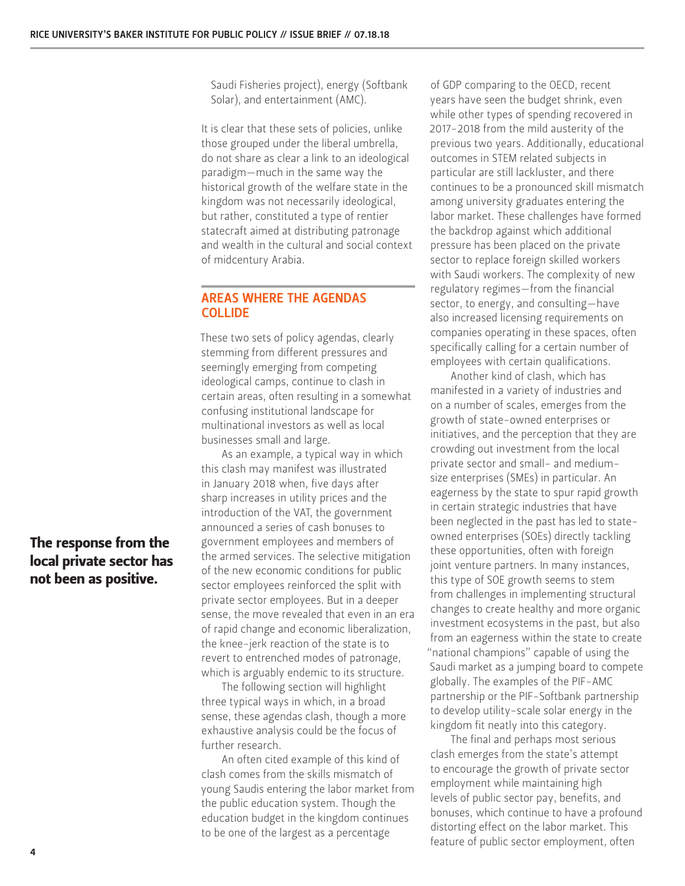Saudi Fisheries project), energy (Softbank Solar), and entertainment (AMC).

It is clear that these sets of policies, unlike those grouped under the liberal umbrella, do not share as clear a link to an ideological paradigm—much in the same way the historical growth of the welfare state in the kingdom was not necessarily ideological, but rather, constituted a type of rentier statecraft aimed at distributing patronage and wealth in the cultural and social context of midcentury Arabia.

#### AREAS WHERE THE AGENDAS COLLIDE

These two sets of policy agendas, clearly stemming from different pressures and seemingly emerging from competing ideological camps, continue to clash in certain areas, often resulting in a somewhat confusing institutional landscape for multinational investors as well as local businesses small and large.

As an example, a typical way in which this clash may manifest was illustrated in January 2018 when, five days after sharp increases in utility prices and the introduction of the VAT, the government announced a series of cash bonuses to government employees and members of the armed services. The selective mitigation of the new economic conditions for public sector employees reinforced the split with private sector employees. But in a deeper sense, the move revealed that even in an era of rapid change and economic liberalization, the knee-jerk reaction of the state is to revert to entrenched modes of patronage, which is arguably endemic to its structure.

The following section will highlight three typical ways in which, in a broad sense, these agendas clash, though a more exhaustive analysis could be the focus of further research.

An often cited example of this kind of clash comes from the skills mismatch of young Saudis entering the labor market from the public education system. Though the education budget in the kingdom continues to be one of the largest as a percentage

of GDP comparing to the OECD, recent years have seen the budget shrink, even while other types of spending recovered in 2017-2018 from the mild austerity of the previous two years. Additionally, educational outcomes in STEM related subjects in particular are still lackluster, and there continues to be a pronounced skill mismatch among university graduates entering the labor market. These challenges have formed the backdrop against which additional pressure has been placed on the private sector to replace foreign skilled workers with Saudi workers. The complexity of new regulatory regimes—from the financial sector, to energy, and consulting—have also increased licensing requirements on companies operating in these spaces, often specifically calling for a certain number of employees with certain qualifications.

Another kind of clash, which has manifested in a variety of industries and on a number of scales, emerges from the growth of state-owned enterprises or initiatives, and the perception that they are crowding out investment from the local private sector and small- and mediumsize enterprises (SMEs) in particular. An eagerness by the state to spur rapid growth in certain strategic industries that have been neglected in the past has led to stateowned enterprises (SOEs) directly tackling these opportunities, often with foreign joint venture partners. In many instances, this type of SOE growth seems to stem from challenges in implementing structural changes to create healthy and more organic investment ecosystems in the past, but also from an eagerness within the state to create "national champions" capable of using the Saudi market as a jumping board to compete globally. The examples of the PIF-AMC partnership or the PIF-Softbank partnership to develop utility-scale solar energy in the kingdom fit neatly into this category.

The final and perhaps most serious clash emerges from the state's attempt to encourage the growth of private sector employment while maintaining high levels of public sector pay, benefits, and bonuses, which continue to have a profound distorting effect on the labor market. This feature of public sector employment, often

## The response from the local private sector has not been as positive.